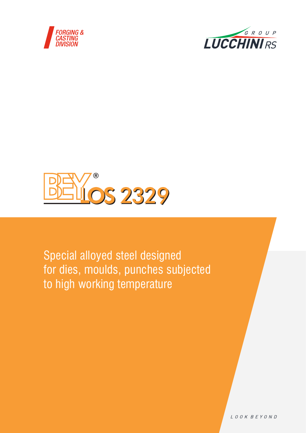





Special alloyed steel designed for dies, moulds, punches subjected to high working temperature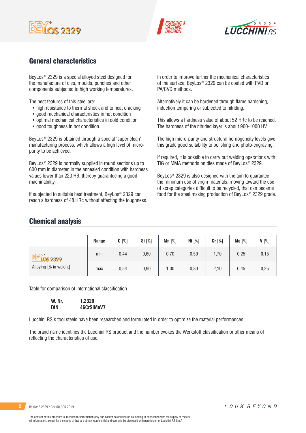





## General characteristics

BeyLos® 2329 is a special alloyed steel designed for the manufacture of dies, moulds, punches and other components subjected to high working temperatures.

The best features of this steel are:

- high resistance to thermal shock and to heat cracking
- good mechanical characteristics in hot condition
- optimal mechanical characteristics in cold condition
- good toughness in hot condition.

BeyLos® 2329 is obtained through a special 'super clean' manufacturing process, which allows a high level of micropurity to be achieved.

BeyLos® 2329 is normally supplied in round sections up to 600 mm in diameter, in the annealed condition with hardness values lower than 220 HB, thereby guaranteeing a good machinability.

If subjected to suitable heat treatment, BeyLos® 2329 can reach a hardness of 48 HRc without affecting the toughness. In order to improve further the mechanical characteristics of the surface, BeyLos® 2329 can be coated with PVD or PA/CVD methods.

Alternatively it can be hardened through flame hardening, induction tempering or subjected to nitriding.

This allows a hardness value of about 52 HRc to be reached. The hardness of the nitrided layer is about 900-1000 HV.

The high micro-purity and structural homogeneity levels give this grade good suitability to polishing and photo-engraving.

If required, it is possible to carry out welding operations with TIG or MMA methods on dies made of BeyLos® 2329.

BeyLos® 2329 is also designed with the aim to guarantee the minimum use of virgin materials, moving toward the use of scrap categories difficult to be recycled, that can became food for the steel making production of BeyLos® 2329 grade.

### Chemical analysis

|                              | Range | $C[\%]$ | Si [%] | Mn $[%]$ | Ni [%] | Cr [%] | Mo [%] | V[%]  |
|------------------------------|-------|---------|--------|----------|--------|--------|--------|-------|
| <b>BEV</b> <sup>*</sup> 2329 | min   | 0,44    | 0,60   | 0,70     | 0,50   | 1,70   | 0,25   | 0, 15 |
| Alloying [% in weight]       | max   | 0,54    | 0,90   | 1,00     | 0,80   | 2,10   | 0,45   | 0,25  |

Table for comparison of international classification

| W. Nr. | 1.2329     |
|--------|------------|
| DIN    | 46CrSiMoV7 |

Lucchini RS's tool steels have been researched and formulated in order to optimize the material performances.

The brand name identifies the Lucchini RS product and the number evokes the Werkstoff classification or other means of reflecting the characteristics of use.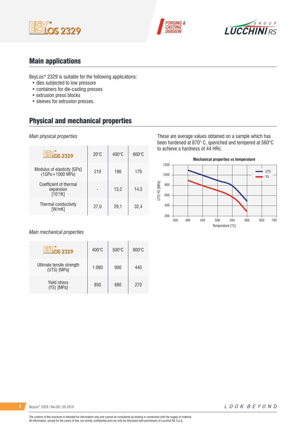





## Main applications

BeyLos® 2329 is suitable for the following applications:

- dies subjected to low pressure
- containers for die-casting presses
- extrusion press blocks
- sleeves for extrusion presses.

## Physical and mechanical properties

#### *Main physical properties*

| $\overline{S}$ 2329                                  | $20^{\circ}$ C | $400^{\circ}$ C | $600^{\circ}$ C |
|------------------------------------------------------|----------------|-----------------|-----------------|
| Modulus of elasticity [GPa]<br>$(1GPa = 1000 MPa)$   | 210            | 186             | 179             |
| Coefficient of thermal<br>expansion<br>$[10^{-6}/K]$ |                | 13,2            | 14.5            |
| Thermal conductivity<br>[W/mK]                       | 27,0           | 29,1            | 32,4            |

#### *Main mechanical properties*

| <u>Vios 2329</u>                         | $400^{\circ}$ C | $500\degree C$ | $600\degree C$ |
|------------------------------------------|-----------------|----------------|----------------|
| Ultimate tensile strength<br>(UTS) [MPa] | 1.080           | 900            | 440            |
| <b>Yield stress</b><br>(YS) [MPa]        | 850             | 680            | 270            |

These are average values obtained on a sample which has been hardened at 870° C, quenched and tempered at 560°C to achieve a hardness of 44 HRc.

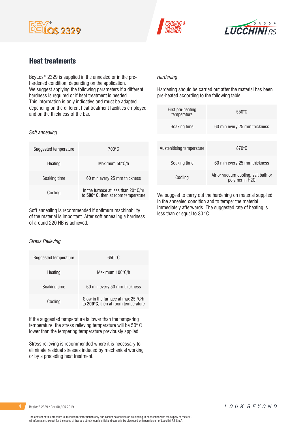





### Heat treatments

BeyLos® 2329 is supplied in the annealed or in the prehardened condition, depending on the application. We suggest applying the following parameters if a different hardness is required or if heat treatment is needed. This information is only indicative and must be adapted depending on the different heat treatment facilities employed and on the thickness of the bar.

### *Hardening*

Hardening should be carried out after the material has been pre-heated according to the following table.

| First pre-heating<br>temperature | $550^{\circ}$ C                                       |  |  |  |
|----------------------------------|-------------------------------------------------------|--|--|--|
| Soaking time                     | 60 min every 25 mm thickness                          |  |  |  |
|                                  |                                                       |  |  |  |
| Austenitising temperature        | $870^\circ C$                                         |  |  |  |
| Soaking time                     | 60 min every 25 mm thickness                          |  |  |  |
| Cooling                          | Air or vacuum cooling, salt bath or<br>polymer in H2O |  |  |  |

We suggest to carry out the hardening on material supplied in the annealed condition and to temper the material immediately afterwards. The suggested rate of heating is less than or equal to 30 °C.

#### *Soft annealing*

| Suggested temperature | 700°C                                                                                |
|-----------------------|--------------------------------------------------------------------------------------|
| Heating               | Maximum 50°C/h                                                                       |
| Soaking time          | 60 min every 25 mm thickness                                                         |
| Cooling               | In the furnace at less than $20^{\circ}$ C/hr<br>to 500° C, then at room temperature |

Soft annealing is recommended if optimum machinability of the material is important. After soft annealing a hardness of around 220 HB is achieved.

#### *Stress Relieving*

| Suggested temperature | 650 °C                                                                   |
|-----------------------|--------------------------------------------------------------------------|
| Heating               | Maximum $100^{\circ}$ C/h                                                |
| Soaking time          | 60 min every 50 mm thickness                                             |
| Cooling               | Slow in the furnace at max 25 °C/h<br>to 200°C, then at room temperature |

If the suggested temperature is lower than the tempering temperature, the stress relieving temperature will be 50° C lower than the tempering temperature previously applied.

Stress relieving is recommended where it is necessary to eliminate residual stresses induced by mechanical working or by a preceding heat treatment.

**4** BeyLos® 2329 / Rev.00 / 05.2019

The content of this brochure is intended for information only and cannot be considered as binding in connection with the supply of material. All information, except for the cases of law, are strictly confidential and can only be disclosed with permission of Lucchini RS S.p.A.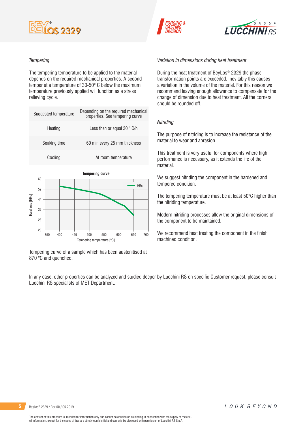

#### *Tempering*

The tempering temperature to be applied to the material depends on the required mechanical properties. A second temper at a temperature of 30-50° C below the maximum temperature previously applied will function as a stress relieving cycle.

| Suggested temperature | Depending on the required mechanical<br>properties. See tempering curve |
|-----------------------|-------------------------------------------------------------------------|
| Heating               | Less than or equal 30 $^{\circ}$ C/h                                    |
| Soaking time          | 60 min every 25 mm thickness                                            |
| Cooling               | At room temperature                                                     |



Tempering curve of a sample which has been austenitised at 870 °C and quenched.

*Variation in dimensions during heat treatment*

During the heat treatment of BeyLos® 2329 the phase transformation points are exceeded. Inevitably this causes a variation in the volume of the material. For this reason we recommend leaving enough allowance to compensate for the change of dimension due to heat treatment. All the corners should be rounded off.

 $6 R O U P$ 

**LUCCHINIRS** 

#### *Nitriding*

**FORGING &** 

The purpose of nitriding is to increase the resistance of the material to wear and abrasion.

This treatment is very useful for components where high performance is necessary, as it extends the life of the material.

We suggest nitriding the component in the hardened and tempered condition.

The tempering temperature must be at least 50°C higher than the nitriding temperature.

Modern nitriding processes allow the original dimensions of the component to be maintained.

We recommend heat treating the component in the finish machined condition.

In any case, other properties can be analyzed and studied deeper by Lucchini RS on specific Customer request: please consult Lucchini RS specialists of MET Department.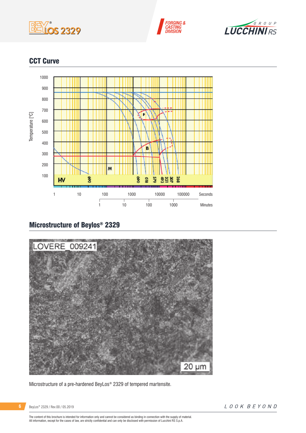





## CCT Curve



# Microstructure of Beylos® 2329



Microstructure of a pre-hardened BeyLos® 2329 of tempered martensite.

BeyLos® 2329 / Rev.00 / 05.2019

The content of this brochure is intended for information only and cannot be considered as binding in connection with the supply of material.<br>All information, except for the cases of law, are strictly confidential and can o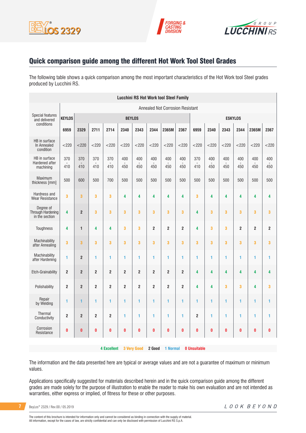





## Quick comparison guide among the different Hot Work Tool Steel Grades

The following table shows a quick comparison among the most important characteristics of the Hot Work tool Steel grades produced by Lucchini RS.

|                                                  |                                  |                         |                         |                    |                |                         |                         | <b>Lucchini RS Hot Work tool Steel Family</b> |                         |                     |            |                |                |                |                |
|--------------------------------------------------|----------------------------------|-------------------------|-------------------------|--------------------|----------------|-------------------------|-------------------------|-----------------------------------------------|-------------------------|---------------------|------------|----------------|----------------|----------------|----------------|
|                                                  | Annealed Not Corrosion Resistant |                         |                         |                    |                |                         |                         |                                               |                         |                     |            |                |                |                |                |
| <b>Special features</b><br>and delivered         | <b>KEYLOS</b>                    |                         |                         |                    | <b>BEYLOS</b>  |                         |                         |                                               |                         |                     |            | <b>ESKYLOS</b> |                |                |                |
| conditions                                       | 6959                             | 2329                    | 2711                    | 2714               | 2340           | 2343                    | 2344                    | 2365M                                         | 2367                    | 6959                | 2340       | 2343           | 2344           | 2365M          | 2367           |
| HB in surface<br>In Annealed<br>condition        | $<$ 220                          | < 220                   | < 220                   | < 220              | $<$ 220        | $<$ 220                 | $<$ 220                 | $<$ 220                                       | $<$ 220                 | < 220               | < 220      | $<$ 220        | $<$ 220        | < 220          | $<$ 220        |
| HB in surface<br>Hardened after<br>machining     | 370<br>410                       | 370<br>410              | 370<br>410              | 370<br>410         | 400<br>450     | 400<br>450              | 400<br>450              | 400<br>450                                    | 400<br>450              | 370<br>410          | 400<br>450 | 400<br>450     | 400<br>450     | 400<br>450     | 400<br>450     |
| Maximum<br>thickness [mm]                        | 500                              | 600                     | 500                     | 700                | 500            | 500                     | 500                     | 500                                           | 500                     | 500                 | 500        | 500            | 500            | 500            | 500            |
| Hardness and<br><b>Wear Resistance</b>           | 3                                | 3                       | 3                       | 3                  | 4              | 4                       | 4                       | 4                                             | 4                       | 3                   | 4          | 4              | 4              | 4              | 4              |
| Dearee of<br>Through Hardening<br>in the section | 4                                | $\overline{2}$          | 3                       | 3                  | 3              | 3                       | 3                       | 3                                             | 3                       | 4                   | 3          | 3              | 3              | 3              | 3              |
| Toughness                                        | 4                                | $\mathbf{1}$            | 4                       | 4                  | 3              | 3                       | $\overline{2}$          | $\overline{2}$                                | $\overline{\mathbf{c}}$ | 4                   | 3          | 3              | $\overline{2}$ | $\overline{2}$ | $\overline{2}$ |
| Machinability<br>after Annealing                 | 3                                | 3                       | 3                       | 3                  | 3              | 3                       | 3                       | 3                                             | 3                       | 3                   | 3          | 3              | 3              | 3              | 3              |
| Machinability<br>after Hardening                 | 1                                | $\overline{2}$          | 1                       | 1                  | 1              | 1                       | 1                       | 1                                             | 1                       | 1                   | 1          | 1              | 1              | 1              | 1              |
| <b>Etch-Grainability</b>                         | $\overline{2}$                   | $\overline{\mathbf{c}}$ | $\overline{\mathbf{c}}$ | $\mathbf 2$        | $\overline{2}$ | $\overline{\mathbf{c}}$ | $\overline{\mathbf{c}}$ | $\overline{\mathbf{c}}$                       | $\overline{\mathbf{c}}$ | 4                   | 4          | 4              | 4              | 4              | 4              |
| Polishability                                    | $\overline{\mathbf{c}}$          | $\overline{2}$          | $\overline{2}$          | $\overline{2}$     | $\overline{2}$ | $\overline{2}$          | $\overline{2}$          | $\overline{2}$                                | $\overline{2}$          | 4                   | 4          | 3              | 3              | 4              | 3              |
| Repair<br>by Welding                             | 1                                | 1                       | 1                       | 1                  | 1              | 1                       | 1                       | 1                                             | 1                       | 1                   | 1          | 1              | 1              | 1              | 1              |
| Thermal<br>Conductivity                          | $\overline{2}$                   | $\overline{2}$          | $\boldsymbol{2}$        | $\overline{2}$     | 1              | 1                       | 1                       | 1                                             | 1                       | $\overline{2}$      | 1          | 1              | 1              | 1              | 1              |
| Corrosion<br>Resistance                          | $\pmb{0}$                        | $\bf{0}$                | $\bf{0}$                | $\bf{0}$           | 0              | 0                       | $\bf{0}$                | 0                                             | $\pmb{0}$               | 0                   | 0          | 0              | 0              | $\bf{0}$       | $\pmb{0}$      |
|                                                  |                                  |                         |                         | <b>4 Excellent</b> |                | <b>3 Very Good</b>      | 2 Good                  | 1 Normal                                      |                         | <b>0 Unsuitable</b> |            |                |                |                |                |

The information and the data presented here are typical or average values and are not a guarantee of maximum or minimum values.

Applications specifically suggested for materials described herein and in the quick comparison guide among the different grades are made solely for the purpose of illustration to enable the reader to make his own evaluation and are not intended as warranties, either express or implied, of fitness for these or other purposes.

**7** BeyLos® 2329 / Rev.00 / 05.2019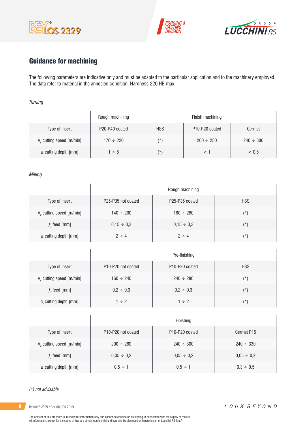





# Guidance for machining

 $\overline{1}$ 

The following parameters are indicative only and must be adapted to the particular application and to the machinery employed. The data refer to material in the annealed condition. Hardness 220 HB max.

#### *Turning*

|                                      | Rough machining |            | Finish machining                        |                |
|--------------------------------------|-----------------|------------|-----------------------------------------|----------------|
| Type of insert                       | P20-P40 coated  | <b>HSS</b> | P <sub>10</sub> -P <sub>20</sub> coated | Cermet         |
| V <sub>c</sub> cutting speed [m/min] | $170 \div 220$  | $(\star)$  | $200 \div 250$                          | $240 \div 300$ |
| a, cutting depth [mm]                | $1 \div 5$      | $(\star)$  |                                         | < 0.5          |

#### *Milling*

|                                      | Rough machining                             |                                         |            |  |  |  |  |
|--------------------------------------|---------------------------------------------|-----------------------------------------|------------|--|--|--|--|
| Type of insert                       | P <sub>25</sub> -P <sub>35</sub> not coated | P <sub>25</sub> -P <sub>35</sub> coated | <b>HSS</b> |  |  |  |  |
| V <sub>c</sub> cutting speed [m/min] | $140 \div 200$                              | $180 \div 260$                          | $(\star)$  |  |  |  |  |
| $fz$ feed [mm]                       | $0,15 \div 0,3$                             | $0.15 \div 0.3$                         | $(\star)$  |  |  |  |  |
| a, cutting depth [mm]                | $2 \div 4$                                  | $2 \div 4$                              | $(\star)$  |  |  |  |  |

|                                      | Pre-finishing                               |                                         |            |  |  |  |  |
|--------------------------------------|---------------------------------------------|-----------------------------------------|------------|--|--|--|--|
| Type of insert                       | P <sub>10</sub> -P <sub>20</sub> not coated | P <sub>10</sub> -P <sub>20</sub> coated | <b>HSS</b> |  |  |  |  |
| V <sub>c</sub> cutting speed [m/min] | $160 \div 240$                              | $240 \div 280$                          | $(\star)$  |  |  |  |  |
| $f$ , feed [mm]                      | $0,2 \div 0,3$                              | $0,2 \div 0,3$                          | $(\star)$  |  |  |  |  |
| a, cutting depth [mm]                | $1 \div 2$                                  | $1 \div 2$                              | (*)        |  |  |  |  |

|                               | Finishing                                   |                                         |                 |  |  |
|-------------------------------|---------------------------------------------|-----------------------------------------|-----------------|--|--|
| Type of insert                | P <sub>10</sub> -P <sub>20</sub> not coated | P <sub>10</sub> -P <sub>20</sub> coated | Cermet P15      |  |  |
| $V_c$ cutting speed $[m/min]$ | $200 \div 260$                              | $240 \div 300$                          | $240 \div 330$  |  |  |
| $fz$ feed [mm]                | $0,05 \div 0,2$                             | $0.05 \div 0.2$                         | $0,05 \div 0,2$ |  |  |
| a, cutting depth [mm]         | $0.5 \div 1$                                | $0.5 \div 1$                            | $0,3 \div 0,5$  |  |  |

#### *(\*) not advisable*

**8** BeyLos® 2329 / Rev.00 / 05.2019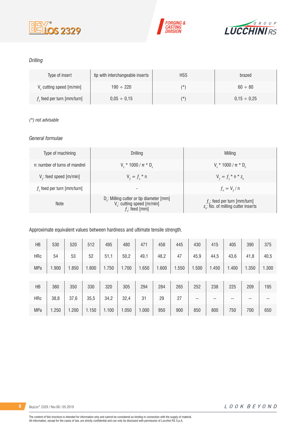





### *Drilling*

| Type of insert               | tip with interchangeable inserts | <b>HSS</b> | brazed           |
|------------------------------|----------------------------------|------------|------------------|
| V cutting speed [m/min]      | $190 \div 220$                   | $(\star)$  | $60 \div 80$     |
| $fz$ feed per turn [mm/turn] | $0.05 \div 0.15$                 | (*)        | $0.15 \div 0.25$ |

#### *(\*) not advisable*

#### *General formulae*

| Type of machining             | Drilling                                                                                                          | Milling                                                                             |
|-------------------------------|-------------------------------------------------------------------------------------------------------------------|-------------------------------------------------------------------------------------|
| n: number of turns of mandrel | $V_r * 1000 / \pi * D_r$                                                                                          | $V_r * 1000 / \pi * D_r$                                                            |
| $Vf$ : feed speed [m/min]     | $V_{f} = f_{7}$ * n                                                                                               | $V_{f} = f_{i} * n * z_{n}$                                                         |
| $fz$ feed per turn [mm/turn]  | -                                                                                                                 | $f_{n} = V_{f} / n$                                                                 |
| <b>Note</b>                   | D <sub>r</sub> : Milling cutter or tip diameter [mm]<br>V <sub>c</sub> : cutting speed [m/min]<br>$f$ : feed [mm] | $f_{n}$ : feed per turn [mm/turn]<br>z <sub>n</sub> : No. of milling cutter inserts |

Approximate equivalent values between hardness and ultimate tensile strength.

| <b>HB</b>  | 530   | 520   | 512   | 495   | 480   | 471   | 458   | 445   | 430   | 415   | 405   | 390   | 375   |
|------------|-------|-------|-------|-------|-------|-------|-------|-------|-------|-------|-------|-------|-------|
| <b>HRc</b> | 54    | 53    | 52    | 51,1  | 50,2  | 49,1  | 48,2  | 47    | 45,9  | 44,5  | 43,6  | 41,8  | 40,5  |
| MPa        | 1.900 | 1.850 | 1.800 | 1.750 | 1.700 | 1.650 | 1.600 | 1.550 | 1.500 | 1.450 | 1.400 | 1.350 | 1.300 |
|            |       |       |       |       |       |       |       |       |       |       |       |       |       |
| HB         | 360   | 350   | 330   | 320   | 305   | 294   | 284   | 265   | 252   | 238   | 225   | 209   | 195   |
| <b>HRc</b> | 38,8  | 37,6  | 35,5  | 34,2  | 32,4  | 31    | 29    | 27    | --    | $- -$ | --    | --    | --    |
| MPa        | 1.250 | 1.200 | 1.150 | 1.100 | 1.050 | 1.000 | 950   | 900   | 850   | 800   | 750   | 700   | 650   |